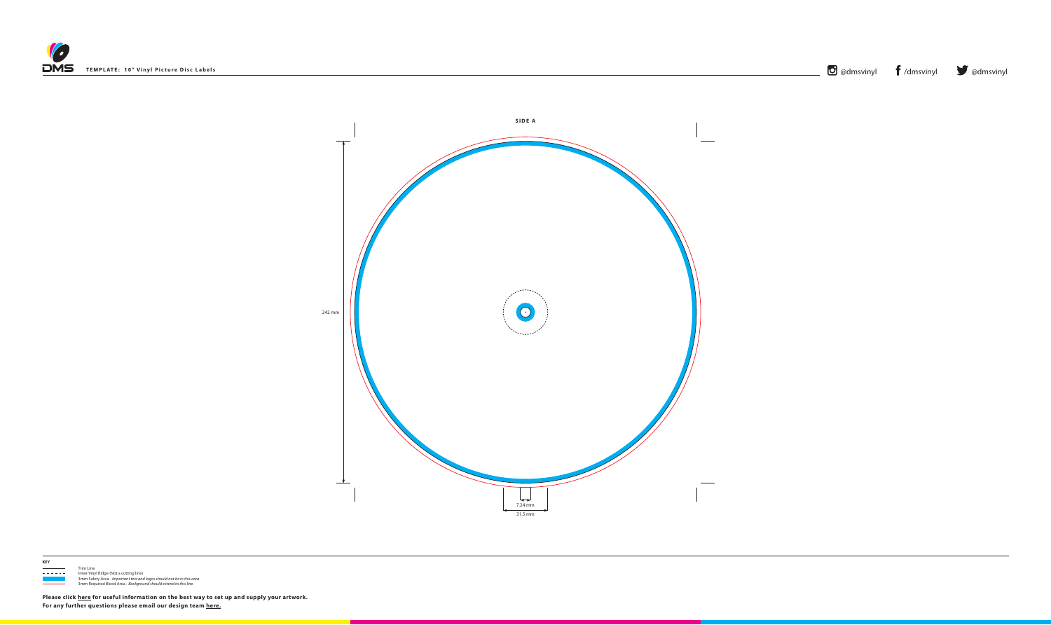







**KEY**

 $\frac{1}{1}$  Trim Line - - - - - Inner Vinyl Ridge (Not a cutting line) 3mm Safety Area - *Important text and logos should not be in this area*. 3mm Required Bleed Area - *Background should extend to this line.*

**Please click [here](http://www.discmanufacturingservices.com/vinyl/templates#artwork-specifications) for useful information on the best way to set up and supply your artwork. For any further questions please email our design team [here](mailto:graphics%40discmanufacturingservices.com?subject=Template%20Enquiry).**